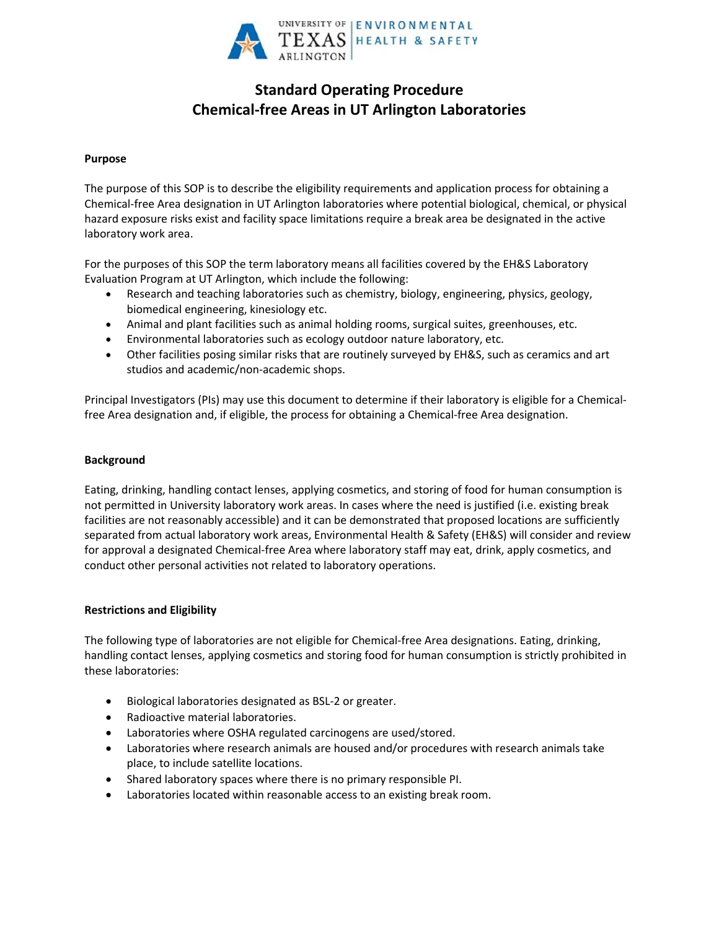

# **Standard Operating Procedure Chemical-free Areas in UT Arlington Laboratories**

### **Purpose**

The purpose of this SOP is to describe the eligibility requirements and application process for obtaining a Chemical-free Area designation in UT Arlington laboratories where potential biological, chemical, or physical hazard exposure risks exist and facility space limitations require a break area be designated in the active laboratory work area.

For the purposes of this SOP the term laboratory means all facilities covered by the EH&S Laboratory Evaluation Program at UT Arlington, which include the following:

- Research and teaching laboratories such as chemistry, biology, engineering, physics, geology, biomedical engineering, kinesiology etc.
- Animal and plant facilities such as animal holding rooms, surgical suites, greenhouses, etc.
- Environmental laboratories such as ecology outdoor nature laboratory, etc.
- Other facilities posing similar risks that are routinely surveyed by EH&S, such as ceramics and art studios and academic/non-academic shops.

Principal Investigators (PIs) may use this document to determine if their laboratory is eligible for a Chemicalfree Area designation and, if eligible, the process for obtaining a Chemical-free Area designation.

#### **Background**

Eating, drinking, handling contact lenses, applying cosmetics, and storing of food for human consumption is not permitted in University laboratory work areas. In cases where the need is justified (i.e. existing break facilities are not reasonably accessible) and it can be demonstrated that proposed locations are sufficiently separated from actual laboratory work areas, Environmental Health & Safety (EH&S) will consider and review for approval a designated Chemical-free Area where laboratory staff may eat, drink, apply cosmetics, and conduct other personal activities not related to laboratory operations.

#### **Restrictions and Eligibility**

The following type of laboratories are not eligible for Chemical-free Area designations. Eating, drinking, handling contact lenses, applying cosmetics and storing food for human consumption is strictly prohibited in these laboratories:

- Biological laboratories designated as BSL-2 or greater.
- Radioactive material laboratories.
- Laboratories where OSHA regulated carcinogens are used/stored.
- Laboratories where research animals are housed and/or procedures with research animals take place, to include satellite locations.
- Shared laboratory spaces where there is no primary responsible PI.
- Laboratories located within reasonable access to an existing break room.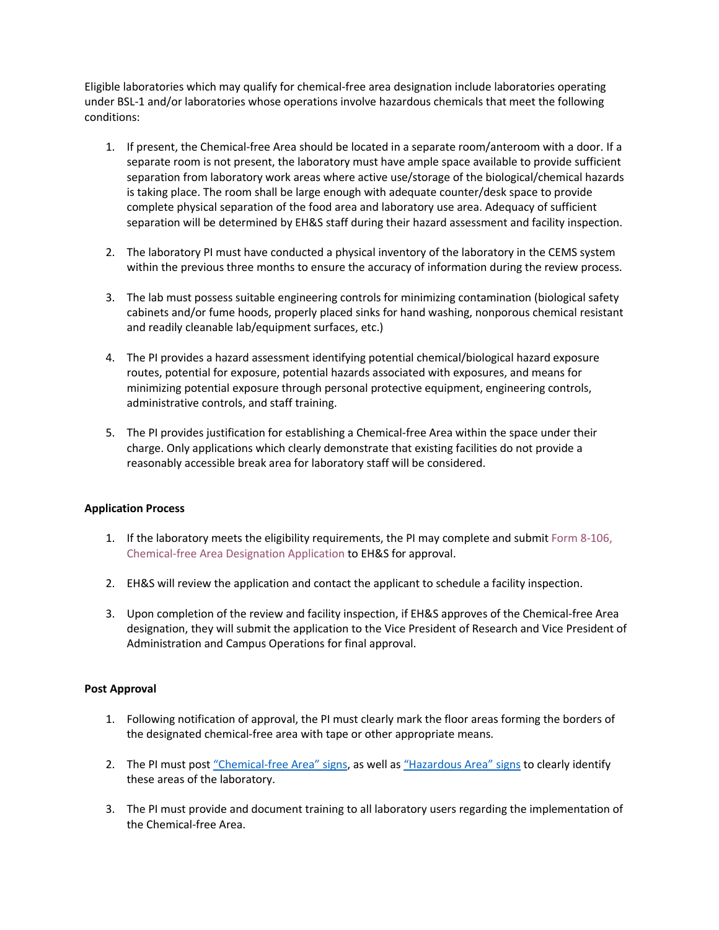Eligible laboratories which may qualify for chemical-free area designation include laboratories operating under BSL-1 and/or laboratories whose operations involve hazardous chemicals that meet the following conditions:

- 1. If present, the Chemical-free Area should be located in a separate room/anteroom with a door. If a separate room is not present, the laboratory must have ample space available to provide sufficient separation from laboratory work areas where active use/storage of the biological/chemical hazards is taking place. The room shall be large enough with adequate counter/desk space to provide complete physical separation of the food area and laboratory use area. Adequacy of sufficient separation will be determined by EH&S staff during their hazard assessment and facility inspection.
- 2. The laboratory PI must have conducted a physical inventory of the laboratory in the CEMS system within the previous three months to ensure the accuracy of information during the review process.
- 3. The lab must possess suitable engineering controls for minimizing contamination (biological safety cabinets and/or fume hoods, properly placed sinks for hand washing, nonporous chemical resistant and readily cleanable lab/equipment surfaces, etc.)
- 4. The PI provides a hazard assessment identifying potential chemical/biological hazard exposure routes, potential for exposure, potential hazards associated with exposures, and means for minimizing potential exposure through personal protective equipment, engineering controls, administrative controls, and staff training.
- 5. The PI provides justification for establishing a Chemical-free Area within the space under their charge. Only applications which clearly demonstrate that existing facilities do not provide a reasonably accessible break area for laboratory staff will be considered.

#### **Application Process**

- 1. If the laboratory meets the eligibility requirements, the PI may complete and submi[t Form 8-106,](https://www.uta.edu/policy/form/8-106)  Chemical-free [Area Designation Application](https://www.uta.edu/policy/form/8-106) to EH&S for approval.
- 2. EH&S will review the application and contact the applicant to schedule a facility inspection.
- 3. Upon completion of the review and facility inspection, if EH&S approves of the Chemical-free Area designation, they will submit the application to the Vice President of Research and Vice President of Administration and Campus Operations for final approval.

#### **Post Approval**

- 1. Following notification of approval, the PI must clearly mark the floor areas forming the borders of the designated chemical-free area with tape or other appropriate means.
- 2. The PI must post ["Chemical](http://www.uta.edu/campus-ops/ehs/chemical/docs/chemical-free-area-sign.pdf)-free Area" signs, as well as ["Hazardous Area"](http://www.uta.edu/campus-ops/ehs/chemical/docs/hazard-area-no-food-sign.pdf) signs to clearly identify these areas of the laboratory.
- 3. The PI must provide and document training to all laboratory users regarding the implementation of the Chemical-free Area.